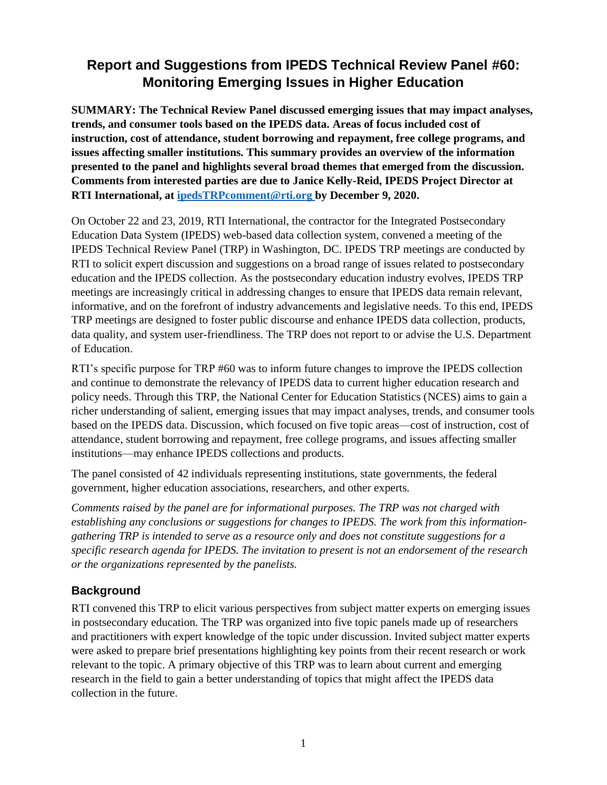# **Report and Suggestions from IPEDS Technical Review Panel #60: Monitoring Emerging Issues in Higher Education**

**SUMMARY: The Technical Review Panel discussed emerging issues that may impact analyses, trends, and consumer tools based on the IPEDS data. Areas of focus included cost of instruction, cost of attendance, student borrowing and repayment, free college programs, and issues affecting smaller institutions. This summary provides an overview of the information presented to the panel and highlights several broad themes that emerged from the discussion. Comments from interested parties are due to Janice Kelly-Reid, IPEDS Project Director at RTI International, at [ipedsTRPcomment@rti.org](mailto:ipedsTRPcomment@rti.org) by December 9, 2020.**

On October 22 and 23, 2019, RTI International, the contractor for the Integrated Postsecondary Education Data System (IPEDS) web-based data collection system, convened a meeting of the IPEDS Technical Review Panel (TRP) in Washington, DC. IPEDS TRP meetings are conducted by RTI to solicit expert discussion and suggestions on a broad range of issues related to postsecondary education and the IPEDS collection. As the postsecondary education industry evolves, IPEDS TRP meetings are increasingly critical in addressing changes to ensure that IPEDS data remain relevant, informative, and on the forefront of industry advancements and legislative needs. To this end, IPEDS TRP meetings are designed to foster public discourse and enhance IPEDS data collection, products, data quality, and system user-friendliness. The TRP does not report to or advise the U.S. Department of Education.

RTI's specific purpose for TRP #60 was to inform future changes to improve the IPEDS collection and continue to demonstrate the relevancy of IPEDS data to current higher education research and policy needs. Through this TRP, the National Center for Education Statistics (NCES) aims to gain a richer understanding of salient, emerging issues that may impact analyses, trends, and consumer tools based on the IPEDS data. Discussion, which focused on five topic areas—cost of instruction, cost of attendance, student borrowing and repayment, free college programs, and issues affecting smaller institutions—may enhance IPEDS collections and products.

The panel consisted of 42 individuals representing institutions, state governments, the federal government, higher education associations, researchers, and other experts.

*Comments raised by the panel are for informational purposes. The TRP was not charged with establishing any conclusions or suggestions for changes to IPEDS. The work from this informationgathering TRP is intended to serve as a resource only and does not constitute suggestions for a specific research agenda for IPEDS. The invitation to present is not an endorsement of the research or the organizations represented by the panelists.*

# **Background**

RTI convened this TRP to elicit various perspectives from subject matter experts on emerging issues in postsecondary education. The TRP was organized into five topic panels made up of researchers and practitioners with expert knowledge of the topic under discussion. Invited subject matter experts were asked to prepare brief presentations highlighting key points from their recent research or work relevant to the topic. A primary objective of this TRP was to learn about current and emerging research in the field to gain a better understanding of topics that might affect the IPEDS data collection in the future.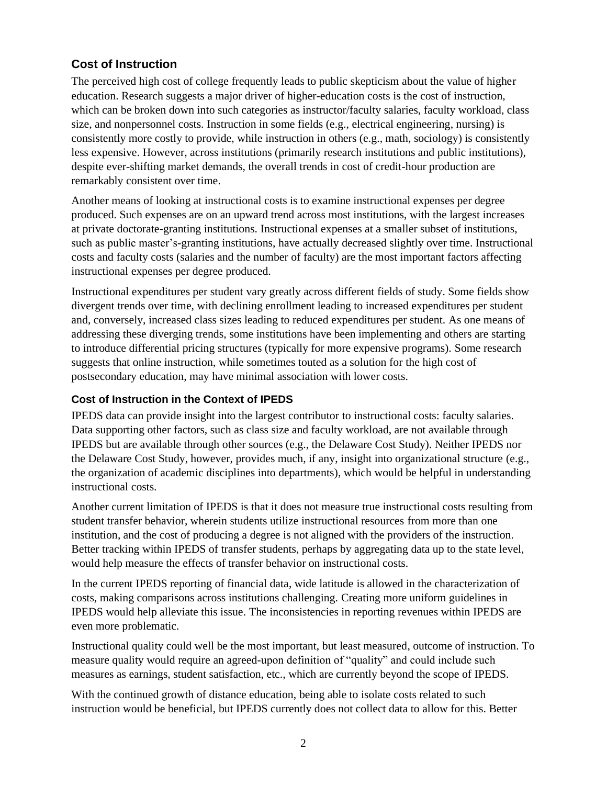# **Cost of Instruction**

The perceived high cost of college frequently leads to public skepticism about the value of higher education. Research suggests a major driver of higher-education costs is the cost of instruction, which can be broken down into such categories as instructor/faculty salaries, faculty workload, class size, and nonpersonnel costs. Instruction in some fields (e.g., electrical engineering, nursing) is consistently more costly to provide, while instruction in others (e.g., math, sociology) is consistently less expensive. However, across institutions (primarily research institutions and public institutions), despite ever-shifting market demands, the overall trends in cost of credit-hour production are remarkably consistent over time.

Another means of looking at instructional costs is to examine instructional expenses per degree produced. Such expenses are on an upward trend across most institutions, with the largest increases at private doctorate-granting institutions. Instructional expenses at a smaller subset of institutions, such as public master's-granting institutions, have actually decreased slightly over time. Instructional costs and faculty costs (salaries and the number of faculty) are the most important factors affecting instructional expenses per degree produced.

Instructional expenditures per student vary greatly across different fields of study. Some fields show divergent trends over time, with declining enrollment leading to increased expenditures per student and, conversely, increased class sizes leading to reduced expenditures per student. As one means of addressing these diverging trends, some institutions have been implementing and others are starting to introduce differential pricing structures (typically for more expensive programs). Some research suggests that online instruction, while sometimes touted as a solution for the high cost of postsecondary education, may have minimal association with lower costs.

#### **Cost of Instruction in the Context of IPEDS**

IPEDS data can provide insight into the largest contributor to instructional costs: faculty salaries. Data supporting other factors, such as class size and faculty workload, are not available through IPEDS but are available through other sources (e.g., the Delaware Cost Study). Neither IPEDS nor the Delaware Cost Study, however, provides much, if any, insight into organizational structure (e.g., the organization of academic disciplines into departments), which would be helpful in understanding instructional costs.

Another current limitation of IPEDS is that it does not measure true instructional costs resulting from student transfer behavior, wherein students utilize instructional resources from more than one institution, and the cost of producing a degree is not aligned with the providers of the instruction. Better tracking within IPEDS of transfer students, perhaps by aggregating data up to the state level, would help measure the effects of transfer behavior on instructional costs.

In the current IPEDS reporting of financial data, wide latitude is allowed in the characterization of costs, making comparisons across institutions challenging. Creating more uniform guidelines in IPEDS would help alleviate this issue. The inconsistencies in reporting revenues within IPEDS are even more problematic.

Instructional quality could well be the most important, but least measured, outcome of instruction. To measure quality would require an agreed-upon definition of "quality" and could include such measures as earnings, student satisfaction, etc., which are currently beyond the scope of IPEDS.

With the continued growth of distance education, being able to isolate costs related to such instruction would be beneficial, but IPEDS currently does not collect data to allow for this. Better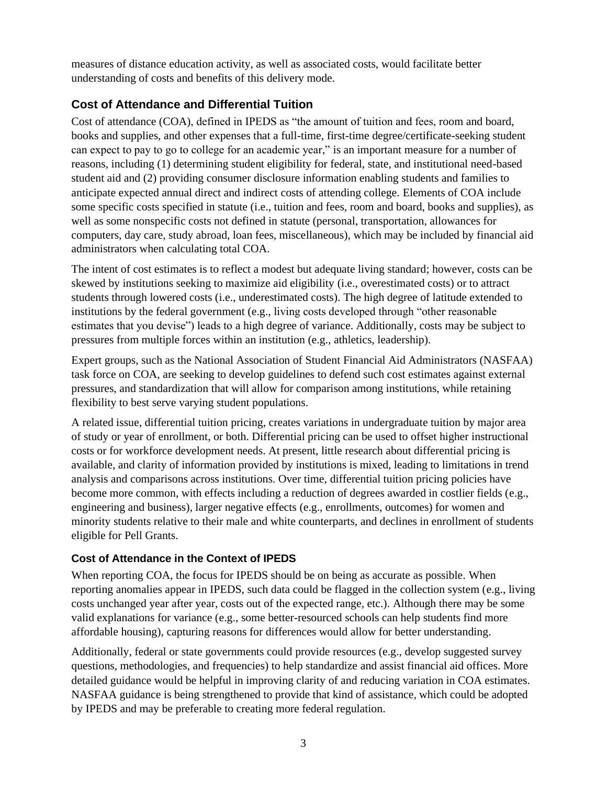measures of distance education activity, as well as associated costs, would facilitate better understanding of costs and benefits of this delivery mode.

# **Cost of Attendance and Differential Tuition**

Cost of attendance (COA), defined in IPEDS as "the amount of tuition and fees, room and board, books and supplies, and other expenses that a full-time, first-time degree/certificate-seeking student can expect to pay to go to college for an academic year," is an important measure for a number of reasons, including (1) determining student eligibility for federal, state, and institutional need-based student aid and (2) providing consumer disclosure information enabling students and families to anticipate expected annual direct and indirect costs of attending college. Elements of COA include some specific costs specified in statute (i.e., tuition and fees, room and board, books and supplies), as well as some nonspecific costs not defined in statute (personal, transportation, allowances for computers, day care, study abroad, loan fees, miscellaneous), which may be included by financial aid administrators when calculating total COA.

The intent of cost estimates is to reflect a modest but adequate living standard; however, costs can be skewed by institutions seeking to maximize aid eligibility (i.e., overestimated costs) or to attract students through lowered costs (i.e., underestimated costs). The high degree of latitude extended to institutions by the federal government (e.g., living costs developed through "other reasonable estimates that you devise") leads to a high degree of variance. Additionally, costs may be subject to pressures from multiple forces within an institution (e.g., athletics, leadership).

Expert groups, such as the National Association of Student Financial Aid Administrators (NASFAA) task force on COA, are seeking to develop guidelines to defend such cost estimates against external pressures, and standardization that will allow for comparison among institutions, while retaining flexibility to best serve varying student populations.

A related issue, differential tuition pricing, creates variations in undergraduate tuition by major area of study or year of enrollment, or both. Differential pricing can be used to offset higher instructional costs or for workforce development needs. At present, little research about differential pricing is available, and clarity of information provided by institutions is mixed, leading to limitations in trend analysis and comparisons across institutions. Over time, differential tuition pricing policies have become more common, with effects including a reduction of degrees awarded in costlier fields (e.g., engineering and business), larger negative effects (e.g., enrollments, outcomes) for women and minority students relative to their male and white counterparts, and declines in enrollment of students eligible for Pell Grants.

# **Cost of Attendance in the Context of IPEDS**

When reporting COA, the focus for IPEDS should be on being as accurate as possible. When reporting anomalies appear in IPEDS, such data could be flagged in the collection system (e.g., living costs unchanged year after year, costs out of the expected range, etc.). Although there may be some valid explanations for variance (e.g., some better-resourced schools can help students find more affordable housing), capturing reasons for differences would allow for better understanding.

Additionally, federal or state governments could provide resources (e.g., develop suggested survey questions, methodologies, and frequencies) to help standardize and assist financial aid offices. More detailed guidance would be helpful in improving clarity of and reducing variation in COA estimates. NASFAA guidance is being strengthened to provide that kind of assistance, which could be adopted by IPEDS and may be preferable to creating more federal regulation.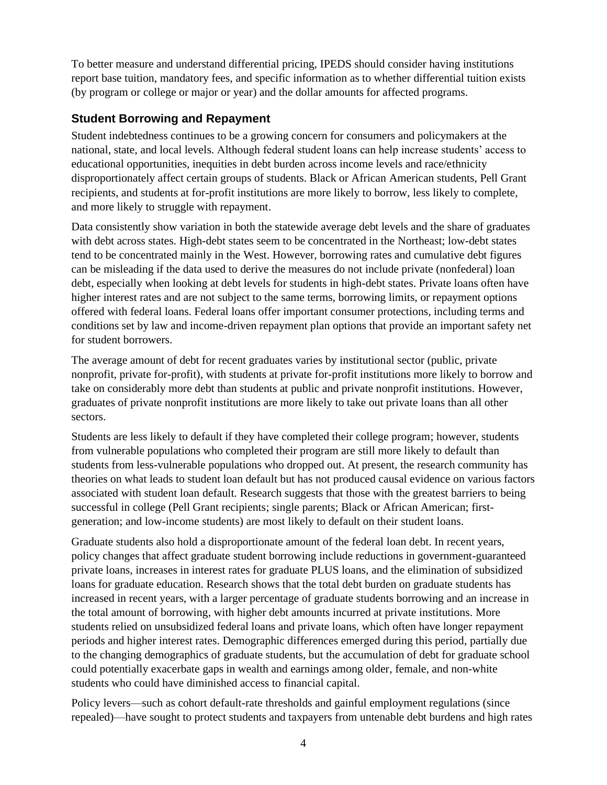To better measure and understand differential pricing, IPEDS should consider having institutions report base tuition, mandatory fees, and specific information as to whether differential tuition exists (by program or college or major or year) and the dollar amounts for affected programs.

# **Student Borrowing and Repayment**

Student indebtedness continues to be a growing concern for consumers and policymakers at the national, state, and local levels. Although federal student loans can help increase students' access to educational opportunities, inequities in debt burden across income levels and race/ethnicity disproportionately affect certain groups of students. Black or African American students, Pell Grant recipients, and students at for-profit institutions are more likely to borrow, less likely to complete, and more likely to struggle with repayment.

Data consistently show variation in both the statewide average debt levels and the share of graduates with debt across states. High-debt states seem to be concentrated in the Northeast; low-debt states tend to be concentrated mainly in the West. However, borrowing rates and cumulative debt figures can be misleading if the data used to derive the measures do not include private (nonfederal) loan debt, especially when looking at debt levels for students in high-debt states. Private loans often have higher interest rates and are not subject to the same terms, borrowing limits, or repayment options offered with federal loans. Federal loans offer important consumer protections, including terms and conditions set by law and income-driven repayment plan options that provide an important safety net for student borrowers.

The average amount of debt for recent graduates varies by institutional sector (public, private nonprofit, private for-profit), with students at private for-profit institutions more likely to borrow and take on considerably more debt than students at public and private nonprofit institutions. However, graduates of private nonprofit institutions are more likely to take out private loans than all other sectors.

Students are less likely to default if they have completed their college program; however, students from vulnerable populations who completed their program are still more likely to default than students from less-vulnerable populations who dropped out. At present, the research community has theories on what leads to student loan default but has not produced causal evidence on various factors associated with student loan default. Research suggests that those with the greatest barriers to being successful in college (Pell Grant recipients; single parents; Black or African American; firstgeneration; and low-income students) are most likely to default on their student loans.

Graduate students also hold a disproportionate amount of the federal loan debt. In recent years, policy changes that affect graduate student borrowing include reductions in government-guaranteed private loans, increases in interest rates for graduate PLUS loans, and the elimination of subsidized loans for graduate education. Research shows that the total debt burden on graduate students has increased in recent years, with a larger percentage of graduate students borrowing and an increase in the total amount of borrowing, with higher debt amounts incurred at private institutions. More students relied on unsubsidized federal loans and private loans, which often have longer repayment periods and higher interest rates. Demographic differences emerged during this period, partially due to the changing demographics of graduate students, but the accumulation of debt for graduate school could potentially exacerbate gaps in wealth and earnings among older, female, and non-white students who could have diminished access to financial capital.

Policy levers—such as cohort default-rate thresholds and gainful employment regulations (since repealed)—have sought to protect students and taxpayers from untenable debt burdens and high rates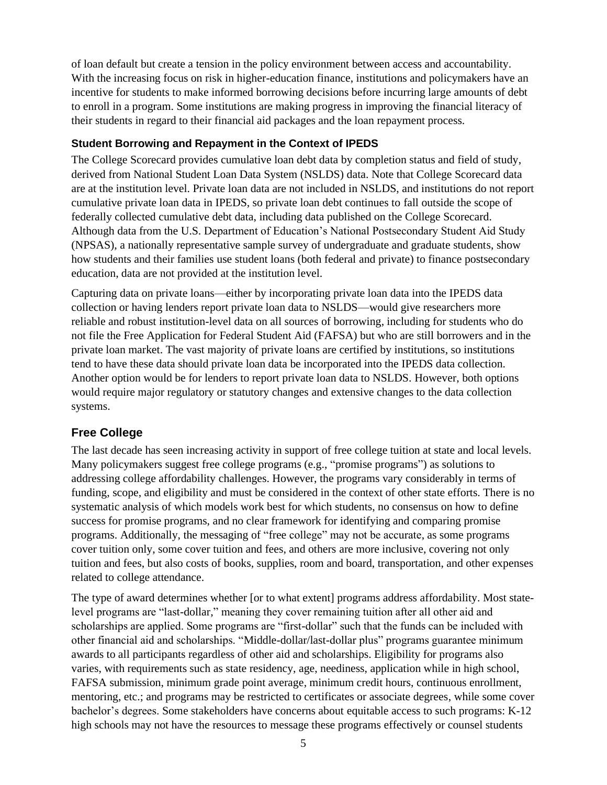of loan default but create a tension in the policy environment between access and accountability. With the increasing focus on risk in higher-education finance, institutions and policymakers have an incentive for students to make informed borrowing decisions before incurring large amounts of debt to enroll in a program. Some institutions are making progress in improving the financial literacy of their students in regard to their financial aid packages and the loan repayment process.

#### **Student Borrowing and Repayment in the Context of IPEDS**

The College Scorecard provides cumulative loan debt data by completion status and field of study, derived from National Student Loan Data System (NSLDS) data. Note that College Scorecard data are at the institution level. Private loan data are not included in NSLDS, and institutions do not report cumulative private loan data in IPEDS, so private loan debt continues to fall outside the scope of federally collected cumulative debt data, including data published on the College Scorecard. Although data from the U.S. Department of Education's National Postsecondary Student Aid Study (NPSAS), a nationally representative sample survey of undergraduate and graduate students, show how students and their families use student loans (both federal and private) to finance postsecondary education, data are not provided at the institution level.

Capturing data on private loans—either by incorporating private loan data into the IPEDS data collection or having lenders report private loan data to NSLDS—would give researchers more reliable and robust institution-level data on all sources of borrowing, including for students who do not file the Free Application for Federal Student Aid (FAFSA) but who are still borrowers and in the private loan market. The vast majority of private loans are certified by institutions, so institutions tend to have these data should private loan data be incorporated into the IPEDS data collection. Another option would be for lenders to report private loan data to NSLDS. However, both options would require major regulatory or statutory changes and extensive changes to the data collection systems.

# **Free College**

The last decade has seen increasing activity in support of free college tuition at state and local levels. Many policymakers suggest free college programs (e.g., "promise programs") as solutions to addressing college affordability challenges. However, the programs vary considerably in terms of funding, scope, and eligibility and must be considered in the context of other state efforts. There is no systematic analysis of which models work best for which students, no consensus on how to define success for promise programs, and no clear framework for identifying and comparing promise programs. Additionally, the messaging of "free college" may not be accurate, as some programs cover tuition only, some cover tuition and fees, and others are more inclusive, covering not only tuition and fees, but also costs of books, supplies, room and board, transportation, and other expenses related to college attendance.

The type of award determines whether [or to what extent] programs address affordability. Most statelevel programs are "last-dollar," meaning they cover remaining tuition after all other aid and scholarships are applied. Some programs are "first-dollar" such that the funds can be included with other financial aid and scholarships. "Middle-dollar/last-dollar plus" programs guarantee minimum awards to all participants regardless of other aid and scholarships. Eligibility for programs also varies, with requirements such as state residency, age, neediness, application while in high school, FAFSA submission, minimum grade point average, minimum credit hours, continuous enrollment, mentoring, etc.; and programs may be restricted to certificates or associate degrees, while some cover bachelor's degrees. Some stakeholders have concerns about equitable access to such programs: K-12 high schools may not have the resources to message these programs effectively or counsel students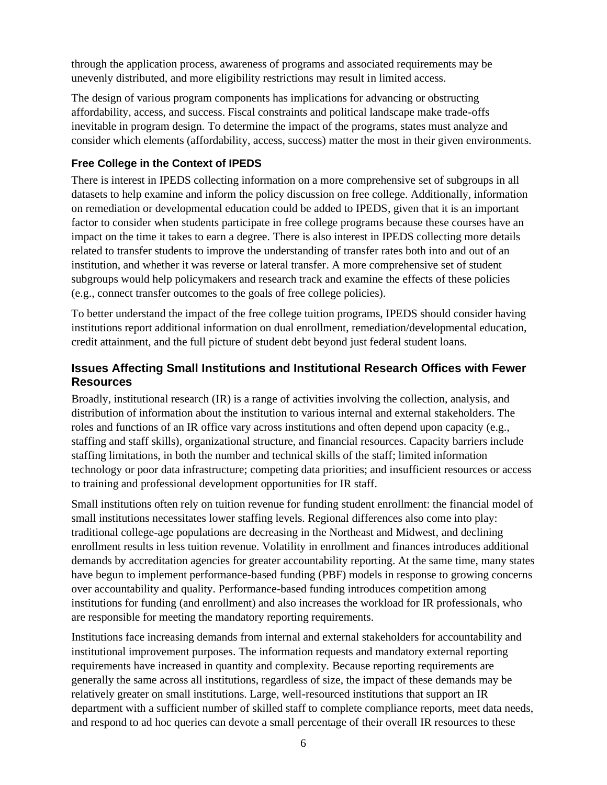through the application process, awareness of programs and associated requirements may be unevenly distributed, and more eligibility restrictions may result in limited access.

The design of various program components has implications for advancing or obstructing affordability, access, and success. Fiscal constraints and political landscape make trade-offs inevitable in program design. To determine the impact of the programs, states must analyze and consider which elements (affordability, access, success) matter the most in their given environments.

### **Free College in the Context of IPEDS**

There is interest in IPEDS collecting information on a more comprehensive set of subgroups in all datasets to help examine and inform the policy discussion on free college. Additionally, information on remediation or developmental education could be added to IPEDS, given that it is an important factor to consider when students participate in free college programs because these courses have an impact on the time it takes to earn a degree. There is also interest in IPEDS collecting more details related to transfer students to improve the understanding of transfer rates both into and out of an institution, and whether it was reverse or lateral transfer. A more comprehensive set of student subgroups would help policymakers and research track and examine the effects of these policies (e.g., connect transfer outcomes to the goals of free college policies).

To better understand the impact of the free college tuition programs, IPEDS should consider having institutions report additional information on dual enrollment, remediation/developmental education, credit attainment, and the full picture of student debt beyond just federal student loans.

### **Issues Affecting Small Institutions and Institutional Research Offices with Fewer Resources**

Broadly, institutional research (IR) is a range of activities involving the collection, analysis, and distribution of information about the institution to various internal and external stakeholders. The roles and functions of an IR office vary across institutions and often depend upon capacity (e.g., staffing and staff skills), organizational structure, and financial resources. Capacity barriers include staffing limitations, in both the number and technical skills of the staff; limited information technology or poor data infrastructure; competing data priorities; and insufficient resources or access to training and professional development opportunities for IR staff.

Small institutions often rely on tuition revenue for funding student enrollment: the financial model of small institutions necessitates lower staffing levels. Regional differences also come into play: traditional college-age populations are decreasing in the Northeast and Midwest, and declining enrollment results in less tuition revenue. Volatility in enrollment and finances introduces additional demands by accreditation agencies for greater accountability reporting. At the same time, many states have begun to implement performance-based funding (PBF) models in response to growing concerns over accountability and quality. Performance-based funding introduces competition among institutions for funding (and enrollment) and also increases the workload for IR professionals, who are responsible for meeting the mandatory reporting requirements.

Institutions face increasing demands from internal and external stakeholders for accountability and institutional improvement purposes. The information requests and mandatory external reporting requirements have increased in quantity and complexity. Because reporting requirements are generally the same across all institutions, regardless of size, the impact of these demands may be relatively greater on small institutions. Large, well-resourced institutions that support an IR department with a sufficient number of skilled staff to complete compliance reports, meet data needs, and respond to ad hoc queries can devote a small percentage of their overall IR resources to these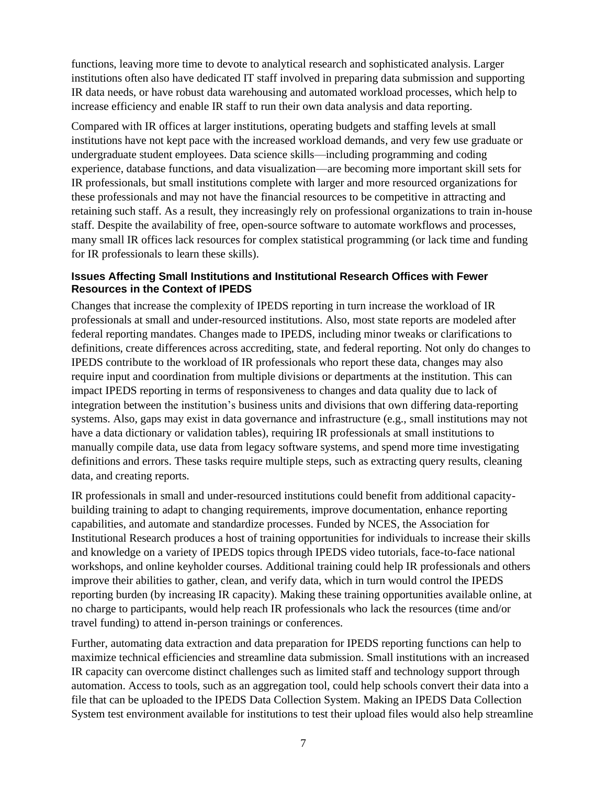functions, leaving more time to devote to analytical research and sophisticated analysis. Larger institutions often also have dedicated IT staff involved in preparing data submission and supporting IR data needs, or have robust data warehousing and automated workload processes, which help to increase efficiency and enable IR staff to run their own data analysis and data reporting.

Compared with IR offices at larger institutions, operating budgets and staffing levels at small institutions have not kept pace with the increased workload demands, and very few use graduate or undergraduate student employees. Data science skills—including programming and coding experience, database functions, and data visualization—are becoming more important skill sets for IR professionals, but small institutions complete with larger and more resourced organizations for these professionals and may not have the financial resources to be competitive in attracting and retaining such staff. As a result, they increasingly rely on professional organizations to train in-house staff. Despite the availability of free, open-source software to automate workflows and processes, many small IR offices lack resources for complex statistical programming (or lack time and funding for IR professionals to learn these skills).

#### **Issues Affecting Small Institutions and Institutional Research Offices with Fewer Resources in the Context of IPEDS**

Changes that increase the complexity of IPEDS reporting in turn increase the workload of IR professionals at small and under-resourced institutions. Also, most state reports are modeled after federal reporting mandates. Changes made to IPEDS, including minor tweaks or clarifications to definitions, create differences across accrediting, state, and federal reporting. Not only do changes to IPEDS contribute to the workload of IR professionals who report these data, changes may also require input and coordination from multiple divisions or departments at the institution. This can impact IPEDS reporting in terms of responsiveness to changes and data quality due to lack of integration between the institution's business units and divisions that own differing data-reporting systems. Also, gaps may exist in data governance and infrastructure (e.g., small institutions may not have a data dictionary or validation tables), requiring IR professionals at small institutions to manually compile data, use data from legacy software systems, and spend more time investigating definitions and errors. These tasks require multiple steps, such as extracting query results, cleaning data, and creating reports.

IR professionals in small and under-resourced institutions could benefit from additional capacitybuilding training to adapt to changing requirements, improve documentation, enhance reporting capabilities, and automate and standardize processes. Funded by NCES, the Association for Institutional Research produces a host of training opportunities for individuals to increase their skills and knowledge on a variety of IPEDS topics through IPEDS video tutorials, face-to-face national workshops, and online keyholder courses. Additional training could help IR professionals and others improve their abilities to gather, clean, and verify data, which in turn would control the IPEDS reporting burden (by increasing IR capacity). Making these training opportunities available online, at no charge to participants, would help reach IR professionals who lack the resources (time and/or travel funding) to attend in-person trainings or conferences.

Further, automating data extraction and data preparation for IPEDS reporting functions can help to maximize technical efficiencies and streamline data submission. Small institutions with an increased IR capacity can overcome distinct challenges such as limited staff and technology support through automation. Access to tools, such as an aggregation tool, could help schools convert their data into a file that can be uploaded to the IPEDS Data Collection System. Making an IPEDS Data Collection System test environment available for institutions to test their upload files would also help streamline